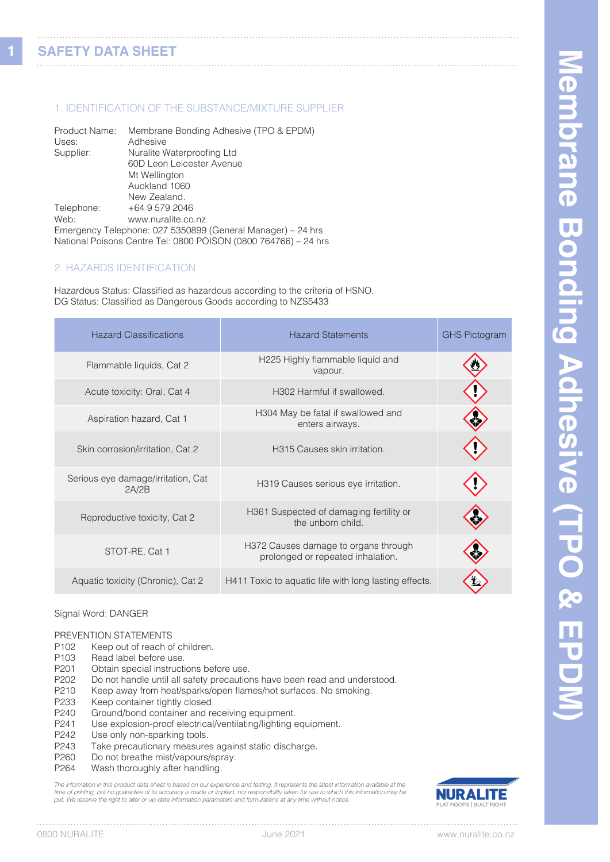**1**

#### 1. IDENTIFICATION OF THE SUBSTANCE/MIXTURE SUPPLIER

| Product Name: | Membrane Bonding Adhesive (TPO & EPDM)                          |
|---------------|-----------------------------------------------------------------|
| Uses:         | Adhesive                                                        |
| Supplier:     | Nuralite Waterproofing Ltd                                      |
|               | 60D Leon Leicester Avenue                                       |
|               | Mt Wellington                                                   |
|               | Auckland 1060                                                   |
|               | New Zealand.                                                    |
| Telephone:    | +64 9 579 2046                                                  |
| Web:          | www.nuralite.co.nz                                              |
|               | Emergency Telephone: 027 5350899 (General Manager) - 24 hrs     |
|               | National Poisons Centre Tel: 0800 POISON (0800 764766) - 24 hrs |

#### 2. HAZARDS IDENTIFICATION

Hazardous Status: Classified as hazardous according to the criteria of HSNO. DG Status: Classified as Dangerous Goods according to NZS5433

| <b>Hazard Classifications</b>               | <b>Hazard Statements</b>                                                  | <b>GHS Pictogram</b> |
|---------------------------------------------|---------------------------------------------------------------------------|----------------------|
| Flammable liquids, Cat 2                    | H225 Highly flammable liquid and<br>vapour.                               |                      |
| Acute toxicity: Oral, Cat 4                 | H302 Harmful if swallowed.                                                |                      |
| Aspiration hazard, Cat 1                    | H304 May be fatal if swallowed and<br>enters airways.                     |                      |
| Skin corrosion/irritation, Cat 2            | H315 Causes skin irritation.                                              |                      |
| Serious eye damage/irritation, Cat<br>2A/2B | H319 Causes serious eye irritation.                                       |                      |
| Reproductive toxicity, Cat 2                | H361 Suspected of damaging fertility or<br>the unborn child.              |                      |
| STOT-RE, Cat 1                              | H372 Causes damage to organs through<br>prolonged or repeated inhalation. |                      |
| Aquatic toxicity (Chronic), Cat 2           | H411 Toxic to aquatic life with long lasting effects.                     |                      |

#### Signal Word: DANGER

# PREVENTION STATEMENTS<br>P102 Keep out of reach of

- Keep out of reach of children.
- P103 Read label before use.
- P201 Obtain special instructions before use.
- P202 Do not handle until all safety precautions have been read and understood.<br>P210 Keep away from heat/sparks/open flames/hot surfaces. No smoking.
- P210 Keep away from heat/sparks/open flames/hot surfaces. No smoking.<br>P233 Keep container tightly closed
- P233 Keep container tightly closed.<br>P240 Ground/bond container and re
- Ground/bond container and receiving equipment.
- P241 Use explosion-proof electrical/ventilating/lighting equipment.
- P242 Use only non-sparking tools.<br>P243 Take precautionary measure
- P243 Take precautionary measures against static discharge.<br>P260 Do not breathe mist/vapours/spray.
- P260 Do not breathe mist/vapours/spray.<br>P264 Wash thoroughly after handling.
- Wash thoroughly after handling.

*The information in this product data sheet is based on our experience and testing. It represents the latest information available at the*  time of printing, but no guarantee of its accuracy is made or implied, nor responsibility taken for use to which this information may be<br>put. We reserve the right to alter or up-date information parameters and formulations

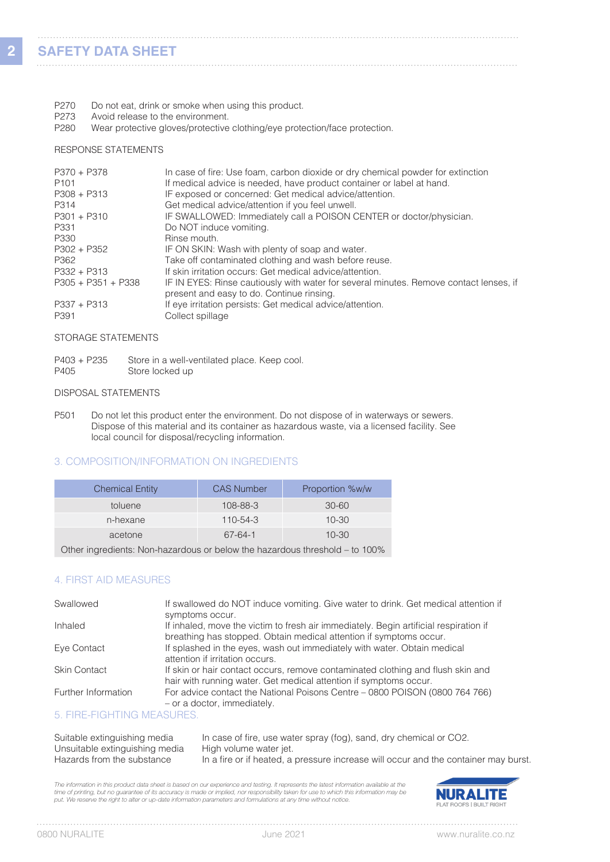- P270 Do not eat, drink or smoke when using this product.
- P273 Avoid release to the environment.<br>P280 Wear protective gloves/protective

Wear protective gloves/protective clothing/eye protection/face protection.

#### RESPONSE STATEMENTS

| P370 + P378          | In case of fire: Use foam, carbon dioxide or dry chemical powder for extinction                                                     |
|----------------------|-------------------------------------------------------------------------------------------------------------------------------------|
| P <sub>101</sub>     | If medical advice is needed, have product container or label at hand.                                                               |
| $P308 + P313$        | IF exposed or concerned: Get medical advice/attention.                                                                              |
| P314                 | Get medical advice/attention if you feel unwell.                                                                                    |
| $P301 + P310$        | IF SWALLOWED: Immediately call a POISON CENTER or doctor/physician.                                                                 |
| P331                 | Do NOT induce vomiting.                                                                                                             |
| P330                 | Rinse mouth.                                                                                                                        |
| P302 + P352          | IF ON SKIN: Wash with plenty of soap and water.                                                                                     |
| P362                 | Take off contaminated clothing and wash before reuse.                                                                               |
| $P332 + P313$        | If skin irritation occurs: Get medical advice/attention.                                                                            |
| $P305 + P351 + P338$ | IF IN EYES: Rinse cautiously with water for several minutes. Remove contact lenses, if<br>present and easy to do. Continue rinsing. |
| $P337 + P313$        | If eye irritation persists: Get medical advice/attention.                                                                           |
| P391                 | Collect spillage                                                                                                                    |

#### STORAGE STATEMENTS

P403 + P235 Store in a well-ventilated place. Keep cool. P405 Store locked up

#### DISPOSAL STATEMENTS

P501 Do not let this product enter the environment. Do not dispose of in waterways or sewers. Dispose of this material and its container as hazardous waste, via a licensed facility. See local council for disposal/recycling information.

#### 3. COMPOSITION/INFORMATION ON INGREDIENTS

| <b>Chemical Entity</b> | <b>CAS Number</b> | Proportion %w/w |
|------------------------|-------------------|-----------------|
| toluene                | $108 - 88 - 3$    | $30 - 60$       |
| n-hexane               | $110 - 54 - 3$    | $10 - 30$       |
| acetone                | 67-64-1           | $10 - 30$       |

Other ingredients: Non-hazardous or below the hazardous threshold – to 100%

#### 4. FIRST AID MEASURES

| Swallowed           | If swallowed do NOT induce vomiting. Give water to drink. Get medical attention if<br>symptoms occur.                                                       |
|---------------------|-------------------------------------------------------------------------------------------------------------------------------------------------------------|
| Inhaled             | If inhaled, move the victim to fresh air immediately. Begin artificial respiration if<br>breathing has stopped. Obtain medical attention if symptoms occur. |
| Eye Contact         | If splashed in the eyes, wash out immediately with water. Obtain medical<br>attention if irritation occurs.                                                 |
| <b>Skin Contact</b> | If skin or hair contact occurs, remove contaminated clothing and flush skin and<br>hair with running water. Get medical attention if symptoms occur.        |
| Further Information | For advice contact the National Poisons Centre – 0800 POISON (0800 764 766)<br>- or a doctor, immediately.                                                  |

#### 5. FIRE-FIGHTING MEASURES.

| Suitable extinguishing media   | In case of fire, use water spray (fog), sand, dry chemical or CO2.                  |
|--------------------------------|-------------------------------------------------------------------------------------|
| Unsuitable extinguishing media | High volume water jet.                                                              |
| Hazards from the substance     | In a fire or if heated, a pressure increase will occur and the container may burst. |

The information in this product data sheet is based on our experience and testing. It represents the latest information available at the time of printing, but no guarantee of its accuracy is made or implied, nor responsibility taken for use to which this information may be<br>put. We reserve the right to alter or up-date information parameters and formulations



 $1.1.1.1$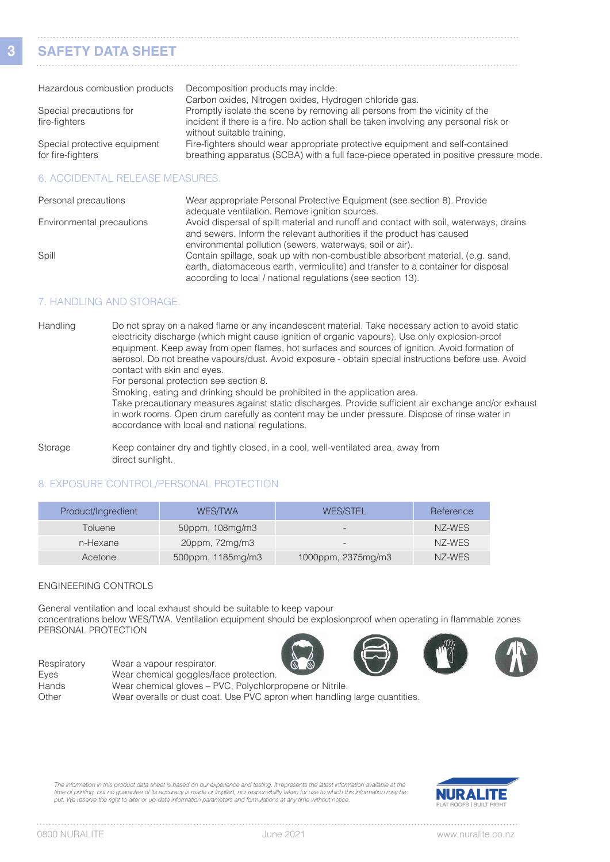## **SAFETY DATA SHEET**

| Hazardous combustion products                     | Decomposition products may inclde:                                                                                                                                     |
|---------------------------------------------------|------------------------------------------------------------------------------------------------------------------------------------------------------------------------|
|                                                   | Carbon oxides, Nitrogen oxides, Hydrogen chloride gas.                                                                                                                 |
| Special precautions for                           | Promptly isolate the scene by removing all persons from the vicinity of the                                                                                            |
| fire-fighters                                     | incident if there is a fire. No action shall be taken involving any personal risk or<br>without suitable training.                                                     |
| Special protective equipment<br>for fire-fighters | Fire-fighters should wear appropriate protective equipment and self-contained<br>breathing apparatus (SCBA) with a full face-piece operated in positive pressure mode. |

#### 6. ACCIDENTAL RELEASE MEASURES.

| Personal precautions      | Wear appropriate Personal Protective Equipment (see section 8). Provide<br>adequate ventilation. Remove ignition sources.                                                                                                         |
|---------------------------|-----------------------------------------------------------------------------------------------------------------------------------------------------------------------------------------------------------------------------------|
| Environmental precautions | Avoid dispersal of spilt material and runoff and contact with soil, waterways, drains<br>and sewers. Inform the relevant authorities if the product has caused                                                                    |
|                           | environmental pollution (sewers, waterways, soil or air).                                                                                                                                                                         |
| Spill                     | Contain spillage, soak up with non-combustible absorbent material, (e.g. sand,<br>earth, diatomaceous earth, vermiculite) and transfer to a container for disposal<br>according to local / national regulations (see section 13). |

#### 7. HANDLING AND STORAGE.

Handling Do not spray on a naked flame or any incandescent material. Take necessary action to avoid static electricity discharge (which might cause ignition of organic vapours). Use only explosion-proof equipment. Keep away from open flames, hot surfaces and sources of ignition. Avoid formation of aerosol. Do not breathe vapours/dust. Avoid exposure - obtain special instructions before use. Avoid contact with skin and eyes.

For personal protection see section 8.

Smoking, eating and drinking should be prohibited in the application area.

 Take precautionary measures against static discharges. Provide sufficient air exchange and/or exhaust in work rooms. Open drum carefully as content may be under pressure. Dispose of rinse water in accordance with local and national regulations.

Storage **Keep container dry and tightly closed, in a cool, well-ventilated area, away from** direct sunlight.

### 8. EXPOSURE CONTROL/PERSONAL PROTECTION

| Product/Ingredient | <b>WES/TWA</b>           | <b>WES/STEL</b>    | Reference |
|--------------------|--------------------------|--------------------|-----------|
| Toluene            | $50$ ppm, $108$ mg/m $3$ | $\sim$             | NZ-WES    |
| n-Hexane           | 20ppm, 72mg/m3           |                    | NZ-WES    |
| Acetone            | 500ppm, 1185mg/m3        | 1000ppm, 2375mg/m3 | NZ-WES    |

#### ENGINEERING CONTROLS

General ventilation and local exhaust should be suitable to keep vapour concentrations below WES/TWA. Ventilation equipment should be explosionproof when operating in flammable zones PERSONAL PROTECTION







Respiratory Wear a vapour respirator. Eyes Wear chemical goggles/face protection. Hands Wear chemical gloves – PVC, Polychlorpropene or Nitrile. Other Wear overalls or dust coat. Use PVC apron when handling large quantities.

*The information in this product data sheet is based on our experience and testing. It represents the latest information available at the time of printing, but no guarantee of its accuracy is made or implied, nor responsibility taken for use to which this information may be put. We reserve the right to alter or up-date information parameters and formulations at any time without notice.*

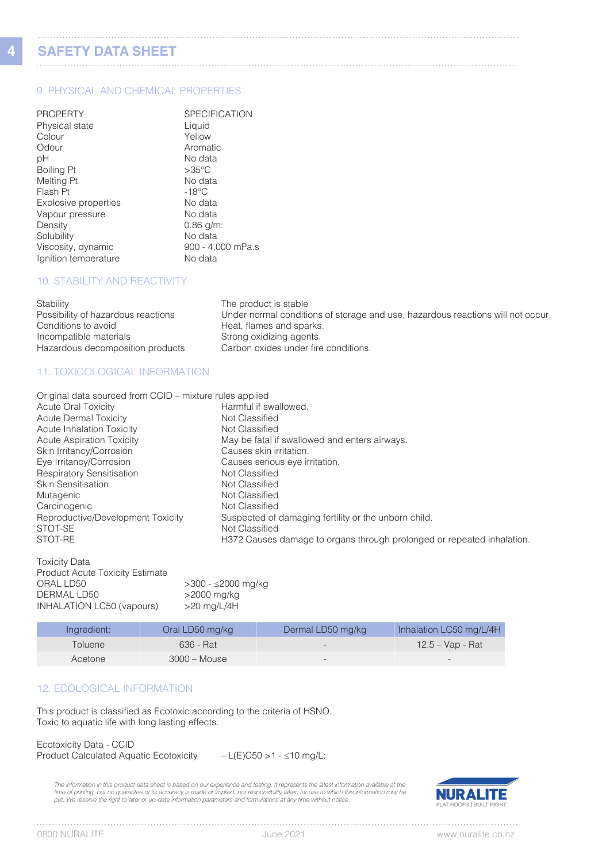**4**

# **SAFETY DATA SHEET**

#### 9. PHYSICAL AND CHEMICAL PROPERTIES

| <b>PROPERTY</b>      | <b>SPECIFICATION</b> |
|----------------------|----------------------|
| Physical state       | Liquid               |
| Colour               | Yellow               |
| Odour                | Aromatic             |
| рH                   | No data              |
| Boiling Pt           | $>35^{\circ}$ C      |
| Melting Pt           | No data              |
| Flash Pt             | $-18^{\circ}$ C      |
| Explosive properties | No data              |
| Vapour pressure      | No data              |
| Density              | $0.86$ g/m:          |
| Solubility           | No data              |
| Viscosity, dynamic   | 900 - 4,000 mPa.s    |
| Ignition temperature | No data              |

#### 10. STABILITY AND REACTIVITY

| Stability                          | The product is stable                                                           |
|------------------------------------|---------------------------------------------------------------------------------|
| Possibility of hazardous reactions | Under normal conditions of storage and use, hazardous reactions will not occur. |
| Conditions to avoid                | Heat, flames and sparks.                                                        |
| Incompatible materials             | Strong oxidizing agents.                                                        |
| Hazardous decomposition products   | Carbon oxides under fire conditions.                                            |

#### 11. TOXICOLOGICAL INFORMATION

| Original data sourced from CCID - mixture rules applied                                   |  |
|-------------------------------------------------------------------------------------------|--|
| <b>Acute Oral Toxicity</b><br>Harmful if swallowed.                                       |  |
| <b>Acute Dermal Toxicity</b><br>Not Classified                                            |  |
| Acute Inhalation Toxicity<br>Not Classified                                               |  |
| <b>Acute Aspiration Toxicity</b><br>May be fatal if swallowed and enters airways.         |  |
| Skin Irritancy/Corrosion<br>Causes skin irritation.                                       |  |
| Eye Irritancy/Corrosion<br>Causes serious eye irritation.                                 |  |
| <b>Respiratory Sensitisation</b><br>Not Classified                                        |  |
| <b>Skin Sensitisation</b><br>Not Classified                                               |  |
| Not Classified<br>Mutagenic                                                               |  |
| Carcinogenic<br>Not Classified                                                            |  |
| Reproductive/Development Toxicity<br>Suspected of damaging fertility or the unborn child. |  |
| STOT-SE<br>Not Classified                                                                 |  |
| STOT-RE<br>H372 Causes damage to organs through prolonged or repeated inhalation.         |  |

| <b>Toxicity Data</b>                   |                    |
|----------------------------------------|--------------------|
| <b>Product Acute Toxicity Estimate</b> |                    |
| ORAL LD50                              | >300 - ≤2000 mg/kg |
| DERMAL LD50                            | >2000 mg/kg        |
| INHALATION LC50 (vapours)              | $>20$ mg/L/4H      |
|                                        |                    |

| Ingredient: | Oral LD50 mg/kg | Dermal LD50 mg/kg        | Inhalation LC50 mg/L/4H  |
|-------------|-----------------|--------------------------|--------------------------|
| Toluene     | 636 - Rat       | $\overline{\phantom{0}}$ | 12.5 – Vap - Rat         |
| Acetone     | $3000 - Mouse$  | $\overline{\phantom{0}}$ | $\overline{\phantom{0}}$ |

### 12. ECOLOGICAL INFORMATION

This product is classified as Ecotoxic according to the criteria of HSNO. Toxic to aquatic life with long lasting effects.

Ecotoxicity Data - CCID Product Calculated Aquatic Ecotoxicity – L(E)C50 >1 - ≤10 mg/L:

*The information in this product data sheet is based on our experience and testing. It represents the latest information available at the*  time of printing, but no guarantee of its accuracy is made or implied, nor responsibility taken for use to which this information may be<br>put. We reserve the right to alter or up-date information parameters and formulations

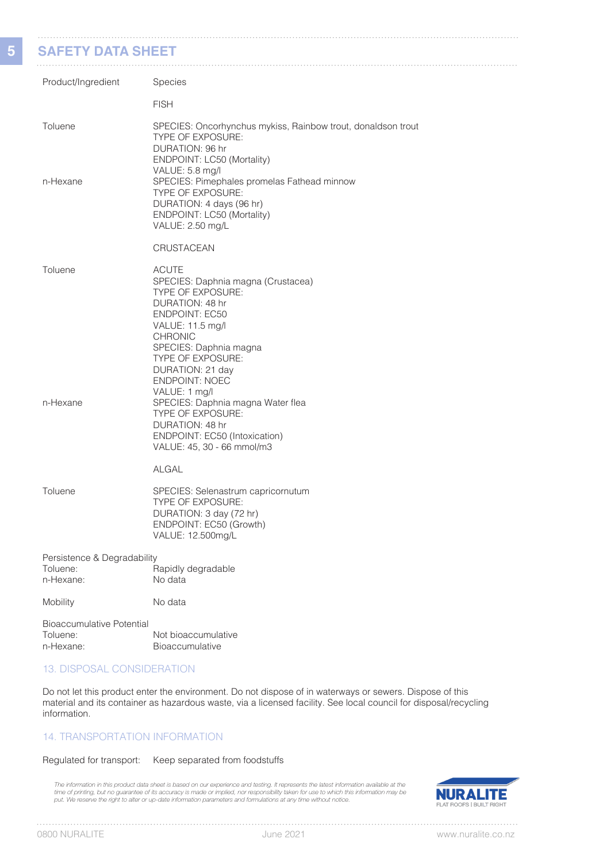#### **SAFETY DATA SHEET**

**5**

| SAFE I Y DATA SHEET                                       |                                                                                                                                                                                                                                                       |
|-----------------------------------------------------------|-------------------------------------------------------------------------------------------------------------------------------------------------------------------------------------------------------------------------------------------------------|
| Product/Ingredient                                        | Species                                                                                                                                                                                                                                               |
|                                                           | <b>FISH</b>                                                                                                                                                                                                                                           |
| Toluene                                                   | SPECIES: Oncorhynchus mykiss, Rainbow trout, donaldson trout<br>TYPE OF EXPOSURE:<br>DURATION: 96 hr<br>ENDPOINT: LC50 (Mortality)                                                                                                                    |
| n-Hexane                                                  | VALUE: 5.8 mg/l<br>SPECIES: Pimephales promelas Fathead minnow<br>TYPE OF EXPOSURE:<br>DURATION: 4 days (96 hr)<br>ENDPOINT: LC50 (Mortality)<br>VALUE: 2.50 mg/L                                                                                     |
|                                                           | CRUSTACEAN                                                                                                                                                                                                                                            |
| Toluene                                                   | <b>ACUTE</b><br>SPECIES: Daphnia magna (Crustacea)<br>TYPE OF EXPOSURE:<br>DURATION: 48 hr<br><b>ENDPOINT: EC50</b><br>VALUE: 11.5 mg/l<br><b>CHRONIC</b><br>SPECIES: Daphnia magna<br>TYPE OF EXPOSURE:<br>DURATION: 21 day<br><b>ENDPOINT: NOEC</b> |
| n-Hexane                                                  | VALUE: 1 mg/l<br>SPECIES: Daphnia magna Water flea<br>TYPE OF EXPOSURE:<br>DURATION: 48 hr<br>ENDPOINT: EC50 (Intoxication)<br>VALUE: 45, 30 - 66 mmol/m3<br><b>ALGAL</b>                                                                             |
| Toluene                                                   | SPECIES: Selenastrum capricornutum<br>TYPE OF EXPOSURE:<br>DURATION: 3 day (72 hr)<br>ENDPOINT: EC50 (Growth)<br>VALUE: 12.500mg/L                                                                                                                    |
| Persistence & Degradability<br>Toluene:<br>n-Hexane:      | Rapidly degradable<br>No data                                                                                                                                                                                                                         |
| Mobility                                                  | No data                                                                                                                                                                                                                                               |
| <b>Bioaccumulative Potential</b><br>Toluene:<br>n-Hexane: | Not bioaccumulative<br>Bioaccumulative                                                                                                                                                                                                                |

#### 13. DISPOSAL CONSIDERATION

Do not let this product enter the environment. Do not dispose of in waterways or sewers. Dispose of this material and its container as hazardous waste, via a licensed facility. See local council for disposal/recycling information.

#### 14. TRANSPORTATION INFORMATION

#### Regulated for transport: Keep separated from foodstuffs

The information in this product data sheet is based on our experience and testing. It represents the latest information available at the<br>time of printing, but no guarantee of its accuracy is made or implied, nor responsibi